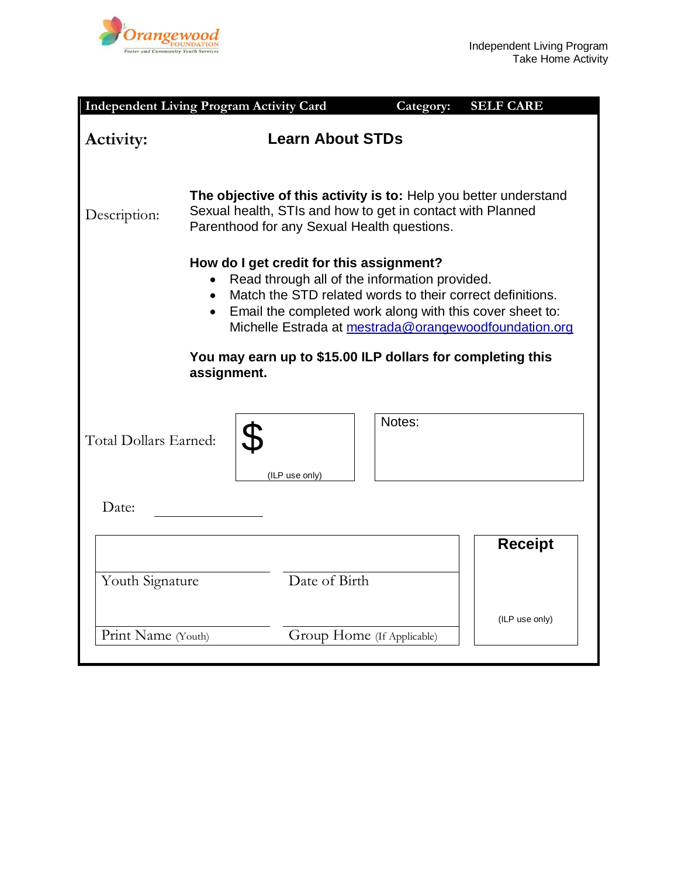

|                                                                                                                                                                                                                                                                                                       | <b>Independent Living Program Activity Card</b>                                                                                                                               | Category:                  | <b>SELF CARE</b> |
|-------------------------------------------------------------------------------------------------------------------------------------------------------------------------------------------------------------------------------------------------------------------------------------------------------|-------------------------------------------------------------------------------------------------------------------------------------------------------------------------------|----------------------------|------------------|
| <b>Learn About STDs</b><br><b>Activity:</b>                                                                                                                                                                                                                                                           |                                                                                                                                                                               |                            |                  |
| Description:                                                                                                                                                                                                                                                                                          | The objective of this activity is to: Help you better understand<br>Sexual health, STIs and how to get in contact with Planned<br>Parenthood for any Sexual Health questions. |                            |                  |
| How do I get credit for this assignment?<br>Read through all of the information provided.<br>Match the STD related words to their correct definitions.<br>$\bullet$<br>Email the completed work along with this cover sheet to:<br>$\bullet$<br>Michelle Estrada at mestrada@orangewoodfoundation.org |                                                                                                                                                                               |                            |                  |
| You may earn up to \$15.00 ILP dollars for completing this<br>assignment.                                                                                                                                                                                                                             |                                                                                                                                                                               |                            |                  |
| Total Dollars Earned:                                                                                                                                                                                                                                                                                 | (ILP use only)                                                                                                                                                                | Notes:                     |                  |
| Date:                                                                                                                                                                                                                                                                                                 |                                                                                                                                                                               |                            |                  |
|                                                                                                                                                                                                                                                                                                       |                                                                                                                                                                               |                            | <b>Receipt</b>   |
| Date of Birth<br>Youth Signature                                                                                                                                                                                                                                                                      |                                                                                                                                                                               |                            |                  |
| Print Name (Youth)                                                                                                                                                                                                                                                                                    |                                                                                                                                                                               | Group Home (If Applicable) | (ILP use only)   |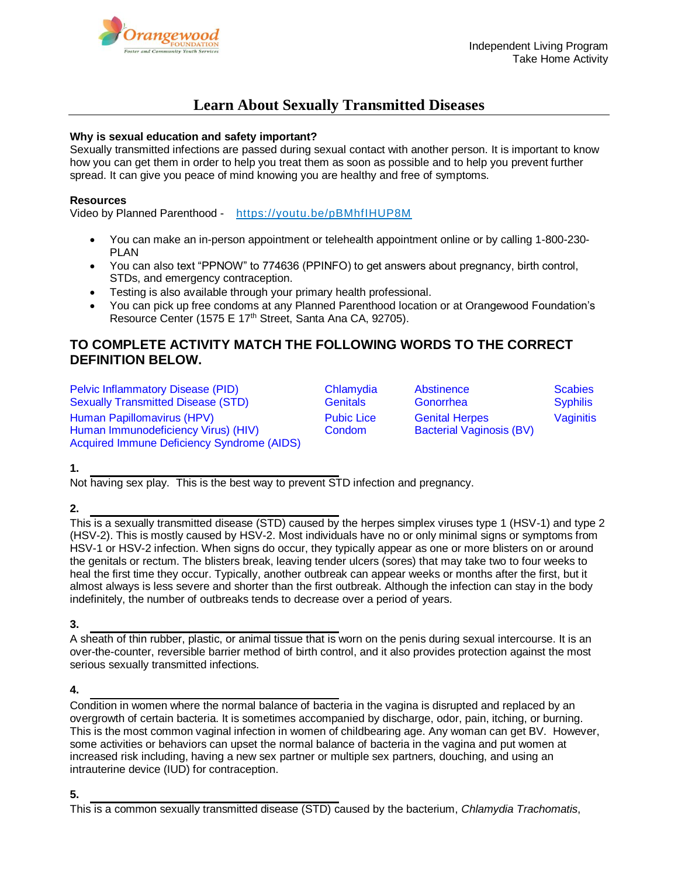# **Learn About Sexually Transmitted Diseases**

### **Why is sexual education and safety important?**

Sexually transmitted infections are passed during sexual contact with another person. It is important to know how you can get them in order to help you treat them as soon as possible and to help you prevent further spread. It can give you peace of mind knowing you are healthy and free of symptoms.

### **Resources**

Video by Planned Parenthood - <https://youtu.be/pBMhfIHUP8M>

- You can make an in-person appointment or telehealth appointment online or by calling 1-800-230- PLAN
- You can also text "PPNOW" to 774636 (PPINFO) to get answers about pregnancy, birth control, STDs, and emergency contraception.
- Testing is also available through your primary health professional.
- You can pick up free condoms at any Planned Parenthood location or at Orangewood Foundation's Resource Center (1575 E 17<sup>th</sup> Street, Santa Ana CA, 92705).

# **TO COMPLETE ACTIVITY MATCH THE FOLLOWING WORDS TO THE CORRECT DEFINITION BELOW.**

[Pelvic Inflammatory Disease \(PID\)](http://www.cdc.gov/std/PID/STDFact-PID.htm) Chlamydia Abstinence Scabies Sexually Transmitted Disease (STD) Genitals Gonorrhea Syphilis Human Papillomavirus (HPV) Pubic Lice Genital Herpes Vaginitis Human Immunodeficiency Virus) (HIV) Condom Bacterial Vaginosis (BV) Acquired Immune Deficiency Syndrome (AIDS)

# **1.**

Not having sex play. This is the best way to prevent STD infection and pregnancy.

# **2.**

This is a sexually transmitted disease (STD) caused by the herpes simplex viruses type 1 (HSV-1) and type 2 (HSV-2). This is mostly caused by HSV-2. Most individuals have no or only minimal signs or symptoms from HSV-1 or HSV-2 infection. When signs do occur, they typically appear as one or more blisters on or around the genitals or rectum. The blisters break, leaving tender ulcers (sores) that may take two to four weeks to heal the first time they occur. Typically, another outbreak can appear weeks or months after the first, but it almost always is less severe and shorter than the first outbreak. Although the infection can stay in the body indefinitely, the number of outbreaks tends to decrease over a period of years.

**3.**

A sheath of thin rubber, plastic, or animal tissue that is worn on the penis during sexual intercourse. It is an over-the-counter, reversible barrier method of birth control, and it also provides protection against the most serious sexually transmitted infections.

#### **4.**

Condition in women where the normal balance of bacteria in the vagina is disrupted and replaced by an overgrowth of certain bacteria. It is sometimes accompanied by discharge, odor, pain, itching, or burning. This is the most common vaginal infection in women of childbearing age. Any woman can get BV. However, some activities or behaviors can upset the normal balance of bacteria in the vagina and put women at increased risk including, having a new sex partner or multiple sex partners, douching, and using an intrauterine device (IUD) for contraception.

This is a common sexually transmitted disease (STD) caused by the bacterium, *Chlamydia Trachomatis*,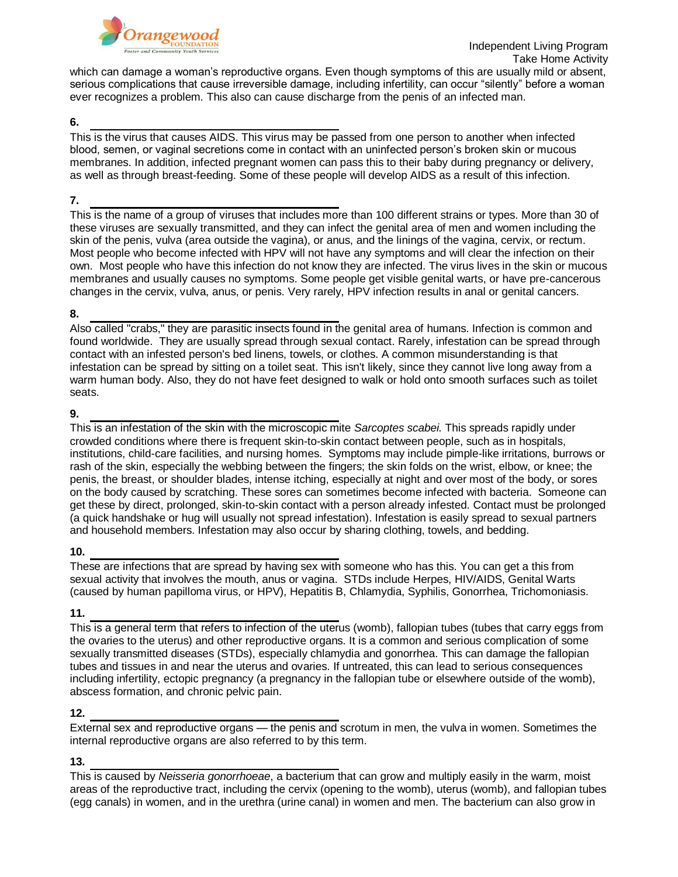

which can damage a woman's reproductive organs. Even though symptoms of this are usually mild or absent, serious complications that cause irreversible damage, including infertility, can occur "silently" before a woman ever recognizes a problem. This also can cause discharge from the penis of an infected man.

#### **6.**

This is the virus that causes AIDS. This virus may be passed from one person to another when infected blood, semen, or vaginal secretions come in contact with an uninfected person's broken skin or mucous membranes. In addition, infected pregnant women can pass this to their baby during pregnancy or delivery, as well as through breast-feeding. Some of these people will develop AIDS as a result of this infection.

#### **7.**

This is the name of a group of viruses that includes more than 100 different strains or types. More than 30 of these viruses are sexually transmitted, and they can infect the genital area of men and women including the skin of the penis, vulva (area outside the vagina), or anus, and the linings of the vagina, cervix, or rectum. Most people who become infected with HPV will not have any symptoms and will clear the infection on their own. Most people who have this infection do not know they are infected. The virus lives in the skin or mucous membranes and usually causes no symptoms. Some people get visible genital warts, or have pre-cancerous changes in the cervix, vulva, anus, or penis. Very rarely, HPV infection results in anal or genital cancers.

#### **8.**

Also called "crabs," they are parasitic insects found in the genital area of humans. Infection is common and found worldwide. They are usually spread through sexual contact. Rarely, infestation can be spread through contact with an infested person's bed linens, towels, or clothes. A common misunderstanding is that infestation can be spread by sitting on a toilet seat. This isn't likely, since they cannot live long away from a warm human body. Also, they do not have feet designed to walk or hold onto smooth surfaces such as toilet seats.

### **9.**

This is an infestation of the skin with the microscopic mite *Sarcoptes scabei.* This spreads rapidly under crowded conditions where there is frequent skin-to-skin contact between people, such as in hospitals, institutions, child-care facilities, and nursing homes. Symptoms may include pimple-like irritations, burrows or rash of the skin, especially the webbing between the fingers; the skin folds on the wrist, elbow, or knee; the penis, the breast, or shoulder blades, intense itching, especially at night and over most of the body, or sores on the body caused by scratching. These sores can sometimes become infected with bacteria. Someone can get these by direct, prolonged, skin-to-skin contact with a person already infested. Contact must be prolonged (a quick handshake or hug will usually not spread infestation). Infestation is easily spread to sexual partners and household members. Infestation may also occur by sharing clothing, towels, and bedding.

#### **10.**

These are infections that are spread by having sex with someone who has this. You can get a this from sexual activity that involves the mouth, [anus](http://www.medicinenet.com/script/main/art.asp?articlekey=2294) or [vagina.](http://www.medicinenet.com/script/main/art.asp?articlekey=5951) STDs includ[e Herpes,](http://www.medicinenet.com/script/main/art.asp?articlekey=11468) [HIV/](http://www.medicinenet.com/script/main/art.asp?articlekey=263)AIDS[, Genital Warts](http://www.medicinenet.com/script/main/art.asp?articlekey=372) (caused by [human papilloma virus,](http://www.medicinenet.com/script/main/art.asp?articlekey=31563) or [HPV\)](http://www.medicinenet.com/script/main/art.asp?articlekey=3807), [Hepatitis B,](http://www.medicinenet.com/script/main/art.asp?articlekey=16017) [Chlamydia,](http://www.medicinenet.com/script/main/art.asp?articlekey=2708) [Syphilis,](http://www.medicinenet.com/script/main/art.asp?articlekey=5689) [Gonorrhea,](http://www.medicinenet.com/script/main/art.asp?articlekey=3622) [Trichomoniasis.](http://www.medicinenet.com/script/main/art.asp?articlekey=31990)

# **11.**

This is a general term that refers to infection of the uterus (womb), fallopian tubes (tubes that carry eggs from the ovaries to the uterus) and other reproductive organs. It is a common and serious complication of some sexually transmitted diseases (STDs), especially chlamydia and gonorrhea. This can damage the fallopian tubes and tissues in and near the uterus and ovaries. If untreated, this can lead to serious consequences including infertility, ectopic pregnancy (a pregnancy in the fallopian tube or elsewhere outside of the womb), abscess formation, and chronic pelvic pain.

# **12.**

External sex and reproductive organs — the penis and scrotum in men, the vulva in women. Sometimes the internal reproductive organs are also referred to by this term.

# **13.**

This is caused by *Neisseria gonorrhoeae*, a bacterium that can grow and multiply easily in the warm, moist areas of the reproductive tract, including the cervix (opening to the womb), uterus (womb), and fallopian tubes (egg canals) in women, and in the urethra (urine canal) in women and men. The bacterium can also grow in